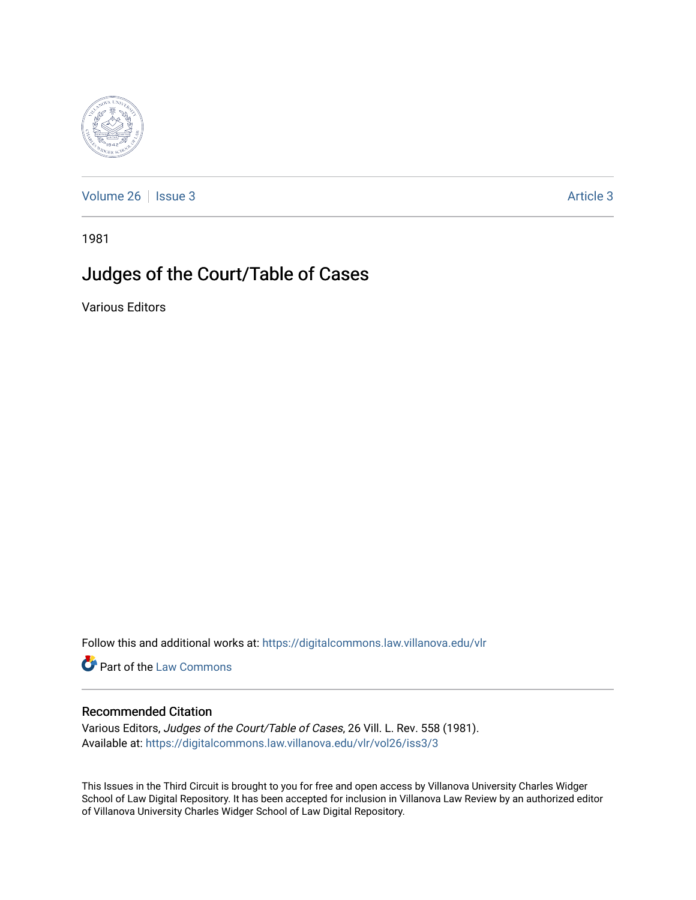

[Volume 26](https://digitalcommons.law.villanova.edu/vlr/vol26) | [Issue 3](https://digitalcommons.law.villanova.edu/vlr/vol26/iss3) Article 3

1981

## Judges of the Court/Table of Cases

Various Editors

Follow this and additional works at: [https://digitalcommons.law.villanova.edu/vlr](https://digitalcommons.law.villanova.edu/vlr?utm_source=digitalcommons.law.villanova.edu%2Fvlr%2Fvol26%2Fiss3%2F3&utm_medium=PDF&utm_campaign=PDFCoverPages)

Part of the [Law Commons](http://network.bepress.com/hgg/discipline/578?utm_source=digitalcommons.law.villanova.edu%2Fvlr%2Fvol26%2Fiss3%2F3&utm_medium=PDF&utm_campaign=PDFCoverPages)

## Recommended Citation

Various Editors, Judges of the Court/Table of Cases, 26 Vill. L. Rev. 558 (1981). Available at: [https://digitalcommons.law.villanova.edu/vlr/vol26/iss3/3](https://digitalcommons.law.villanova.edu/vlr/vol26/iss3/3?utm_source=digitalcommons.law.villanova.edu%2Fvlr%2Fvol26%2Fiss3%2F3&utm_medium=PDF&utm_campaign=PDFCoverPages) 

This Issues in the Third Circuit is brought to you for free and open access by Villanova University Charles Widger School of Law Digital Repository. It has been accepted for inclusion in Villanova Law Review by an authorized editor of Villanova University Charles Widger School of Law Digital Repository.